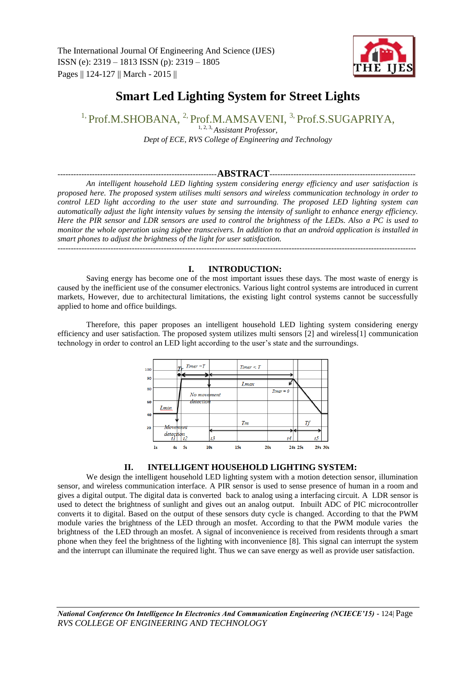

# **Smart Led Lighting System for Street Lights**

<sup>1,</sup> Prof.M.SHOBANA, <sup>2,</sup> Prof.M.AMSAVENI, <sup>3,</sup> Prof.S.SUGAPRIYA.

1, 2, 3*, Assistant Professor, Dept of ECE, RVS College of Engineering and Technology*

# ------------------------------------------------------------**ABSTRACT**-------------------------------------------------------

*An intelligent household LED lighting system considering energy efficiency and user satisfaction is proposed here. The proposed system utilises multi sensors and wireless communication technology in order to control LED light according to the user state and surrounding. The proposed LED lighting system can automatically adjust the light intensity values by sensing the intensity of sunlight to enhance energy efficiency. Here the PIR sensor and LDR sensors are used to control the brightness of the LEDs. Also a PC is used to monitor the whole operation using zigbee transceivers. In addition to that an android application is installed in smart phones to adjust the brightness of the light for user satisfaction.*

---------------------------------------------------------------------------------------------------------------------------------------

## **I. INTRODUCTION:**

Saving energy has become one of the most important issues these days. The most waste of energy is caused by the inefficient use of the consumer electronics. Various light control systems are introduced in current markets, However, due to architectural limitations, the existing light control systems cannot be successfully applied to home and office buildings.

Therefore, this paper proposes an intelligent household LED lighting system considering energy efficiency and user satisfaction. The proposed system utilizes multi sensors [2] and wireless[1] communication technology in order to control an LED light according to the user's state and the surroundings.



## **II. INTELLIGENT HOUSEHOLD LIGHTING SYSTEM:**

We design the intelligent household LED lighting system with a motion detection sensor, illumination sensor, and wireless communication interface. A PIR sensor is used to sense presence of human in a room and gives a digital output. The digital data is converted back to analog using a interfacing circuit. A LDR sensor is used to detect the brightness of sunlight and gives out an analog output. Inbuilt ADC of PIC microcontroller converts it to digital. Based on the output of these sensors duty cycle is changed. According to that the PWM module varies the brightness of the LED through an mosfet. According to that the PWM module varies the brightness of the LED through an mosfet. A signal of inconvenience is received from residents through a smart phone when they feel the brightness of the lighting with inconvenience [8]. This signal can interrupt the system and the interrupt can illuminate the required light. Thus we can save energy as well as provide user satisfaction.

*National Conference On Intelligence In Electronics And Communication Engineering (NCIECE'15) -* 124| Page *RVS COLLEGE OF ENGINEERING AND TECHNOLOGY*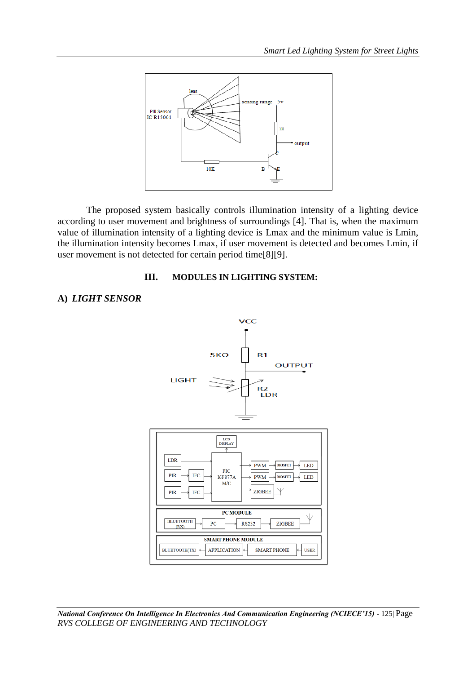

The proposed system basically controls illumination intensity of a lighting device according to user movement and brightness of surroundings [4]. That is, when the maximum value of illumination intensity of a lighting device is Lmax and the minimum value is Lmin, the illumination intensity becomes Lmax, if user movement is detected and becomes Lmin, if user movement is not detected for certain period time[8][9].

## **III. MODULES IN LIGHTING SYSTEM:**

# **A)** *LIGHT SENSOR*



*National Conference On Intelligence In Electronics And Communication Engineering (NCIECE'15) -* 125| Page *RVS COLLEGE OF ENGINEERING AND TECHNOLOGY*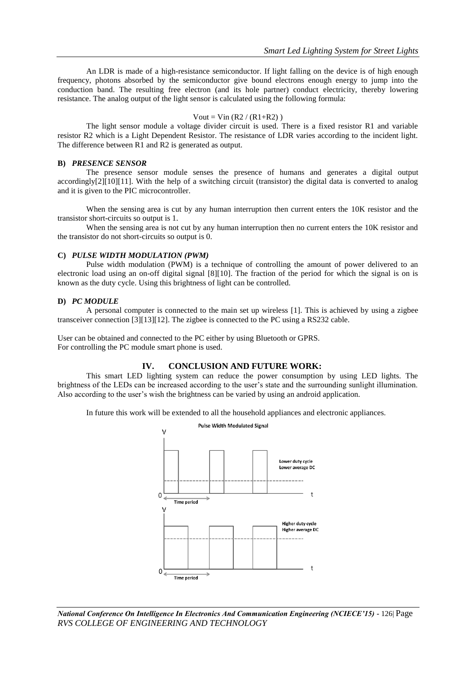An LDR is made of a high-resistance semiconductor. If light falling on the device is of high enough frequency, photons absorbed by the semiconductor give bound electrons enough energy to jump into the conduction band. The resulting free electron (and its hole partner) conduct electricity, thereby lowering resistance. The analog output of the light sensor is calculated using the following formula:

#### $Vout = Vin (R2 / (R1 + R2))$

The light sensor module a voltage divider circuit is used. There is a fixed resistor R1 and variable resistor R2 which is a Light Dependent Resistor. The resistance of LDR varies according to the incident light. The difference between R1 and R2 is generated as output.

#### **B)** *PRESENCE SENSOR*

The presence sensor module senses the presence of humans and generates a digital output accordingly[2][10][11]. With the help of a switching circuit (transistor) the digital data is converted to analog and it is given to the PIC microcontroller.

When the sensing area is cut by any human interruption then current enters the 10K resistor and the transistor short-circuits so output is 1.

When the sensing area is not cut by any human interruption then no current enters the 10K resistor and the transistor do not short-circuits so output is 0.

#### **C)** *PULSE WIDTH MODULATION (PWM)*

Pulse width modulation (PWM) is a technique of controlling the amount of power delivered to an electronic load using an on-off digital signal [8][10]. The fraction of the period for which the signal is on is known as the duty cycle. Using this brightness of light can be controlled.

#### **D)** *PC MODULE*

A personal computer is connected to the main set up wireless [1]. This is achieved by using a zigbee transceiver connection [3][13][12]. The zigbee is connected to the PC using a RS232 cable.

User can be obtained and connected to the PC either by using Bluetooth or GPRS. For controlling the PC module smart phone is used.

### **IV. CONCLUSION AND FUTURE WORK:**

This smart LED lighting system can reduce the power consumption by using LED lights. The brightness of the LEDs can be increased according to the user's state and the surrounding sunlight illumination. Also according to the user's wish the brightness can be varied by using an android application.

In future this work will be extended to all the household appliances and electronic appliances.



*National Conference On Intelligence In Electronics And Communication Engineering (NCIECE'15) -* 126| Page *RVS COLLEGE OF ENGINEERING AND TECHNOLOGY*